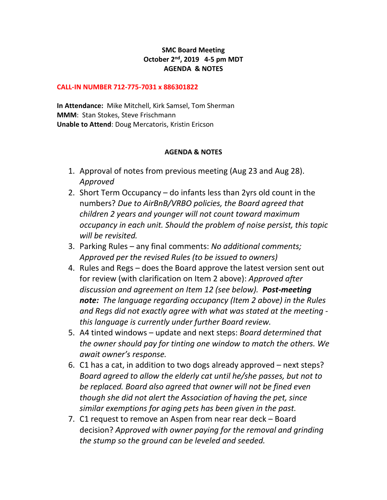## **SMC Board Meeting October 2 nd , 2019 4-5 pm MDT AGENDA & NOTES**

## **CALL-IN NUMBER 712-775-7031 x 886301822**

**In Attendance:** Mike Mitchell, Kirk Samsel, Tom Sherman **MMM**: Stan Stokes, Steve Frischmann **Unable to Attend**: Doug Mercatoris, Kristin Ericson

## **AGENDA & NOTES**

- 1. Approval of notes from previous meeting (Aug 23 and Aug 28). *Approved*
- 2. Short Term Occupancy do infants less than 2yrs old count in the numbers? *Due to AirBnB/VRBO policies, the Board agreed that children 2 years and younger will not count toward maximum occupancy in each unit. Should the problem of noise persist, this topic will be revisited.*
- 3. Parking Rules any final comments: *No additional comments; Approved per the revised Rules (to be issued to owners)*
- 4. Rules and Regs does the Board approve the latest version sent out for review (with clarification on Item 2 above): *Approved after discussion and agreement on Item 12 (see below). Post-meeting note: The language regarding occupancy (Item 2 above) in the Rules and Regs did not exactly agree with what was stated at the meeting this language is currently under further Board review.*
- 5. A4 tinted windows update and next steps: *Board determined that the owner should pay for tinting one window to match the others. We await owner's response.*
- 6. C1 has a cat, in addition to two dogs already approved next steps? *Board agreed to allow the elderly cat until he/she passes, but not to be replaced. Board also agreed that owner will not be fined even though she did not alert the Association of having the pet, since similar exemptions for aging pets has been given in the past.*
- 7. C1 request to remove an Aspen from near rear deck Board decision? *Approved with owner paying for the removal and grinding the stump so the ground can be leveled and seeded.*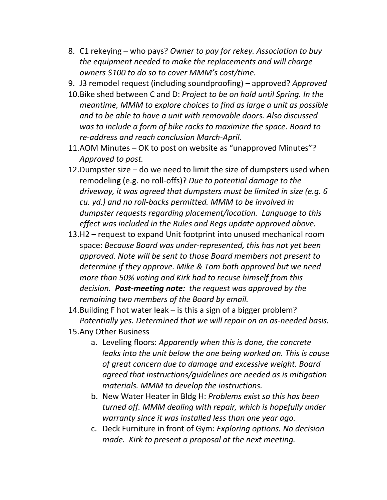- 8. C1 rekeying who pays? *Owner to pay for rekey. Association to buy the equipment needed to make the replacements and will charge owners \$100 to do so to cover MMM's cost/time.*
- 9. J3 remodel request (including soundproofing) approved? *Approved*
- 10.Bike shed between C and D: *Project to be on hold until Spring. In the meantime, MMM to explore choices to find as large a unit as possible and to be able to have a unit with removable doors. Also discussed was to include a form of bike racks to maximize the space. Board to re-address and reach conclusion March-April.*
- 11.AOM Minutes OK to post on website as "unapproved Minutes"? *Approved to post.*
- 12.Dumpster size do we need to limit the size of dumpsters used when remodeling (e.g. no roll-offs)? *Due to potential damage to the driveway, it was agreed that dumpsters must be limited in size (e.g. 6 cu. yd.) and no roll-backs permitted. MMM to be involved in dumpster requests regarding placement/location. Language to this effect was included in the Rules and Regs update approved above.*
- 13.H2 request to expand Unit footprint into unused mechanical room space: *Because Board was under-represented, this has not yet been approved. Note will be sent to those Board members not present to determine if they approve. Mike & Tom both approved but we need more than 50% voting and Kirk had to recuse himself from this decision. Post-meeting note: the request was approved by the remaining two members of the Board by email.*
- 14.Building F hot water leak is this a sign of a bigger problem? *Potentially yes. Determined that we will repair on an as-needed basis.*
- 15.Any Other Business
	- a. Leveling floors: *Apparently when this is done, the concrete leaks into the unit below the one being worked on. This is cause of great concern due to damage and excessive weight. Board agreed that instructions/guidelines are needed as is mitigation materials. MMM to develop the instructions.*
	- b. New Water Heater in Bldg H: *Problems exist so this has been turned off. MMM dealing with repair, which is hopefully under warranty since it was installed less than one year ago.*
	- c. Deck Furniture in front of Gym: *Exploring options. No decision made. Kirk to present a proposal at the next meeting.*